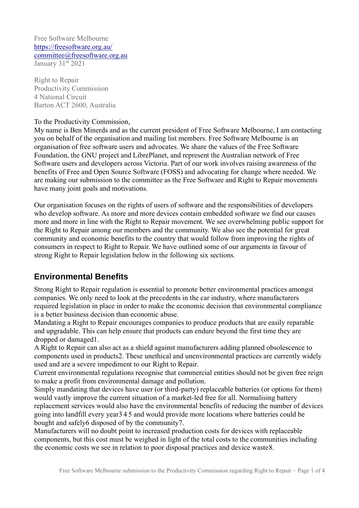Free Software Melbourne <https://freesoftware.org.au/> [committee@freesoftware.org.au](mailto:committee@freesoftware.org.au) January 31st 2021

Right to Repair Productivity Commission 4 National Circuit Barton ACT 2600, Australia

#### To the Productivity Commission,

My name is Ben Minerds and as the current president of Free Software Melbourne, I am contacting you on behalf of the organisation and mailing list members. Free Software Melbourne is an organisation of free software users and advocates. We share the values of the Free Software Foundation, the GNU project and LibrePlanet, and represent the Australian network of Free Software users and developers across Victoria. Part of our work involves raising awareness of the benefits of Free and Open Source Software (FOSS) and advocating for change where needed. We are making our submission to the committee as the Free Software and Right to Repair movements have many joint goals and motivations.

Our organisation focuses on the rights of users of software and the responsibilities of developers who develop software. As more and more devices contain embedded software we find our causes more and more in line with the Right to Repair movement. We see overwhelming public support for the Right to Repair among our members and the community. We also see the potential for great community and economic benefits to the country that would follow from improving the rights of consumers in respect to Right to Repair. We have outlined some of our arguments in favour of strong Right to Repair legislation below in the following six sections.

#### **Environmental Benefits**

Strong Right to Repair regulation is essential to promote better environmental practices amongst companies. We only need to look at the precedents in the car industry, where manufacturers required legislation in place in order to make the economic decision that environmental compliance is a better business decision than economic abuse.

Mandating a Right to Repair encourages companies to produce products that are easily reparable and upgradable. This can help ensure that products can endure beyond the first time they are dropped or damaged1.

A Right to Repair can also act as a shield against manufacturers adding planned obsolescence to components used in products2. These unethical and unenvironmental practices are currently widely used and are a severe impediment to our Right to Repair.

Current environmental regulations recognise that commercial entities should not be given free reign to make a profit from environmental damage and pollution.

Simply mandating that devices have user (or third-party) replaceable batteries (or options for them) would vastly improve the current situation of a market-led free for all. Normalising battery replacement services would also have the environmental benefits of reducing the number of devices going into landfill every year3 4 5 and would provide more locations where batteries could be bought and safely6 disposed of by the community7.

Manufacturers will no doubt point to increased production costs for devices with replaceable components, but this cost must be weighed in light of the total costs to the communities including the economic costs we see in relation to poor disposal practices and device waste8.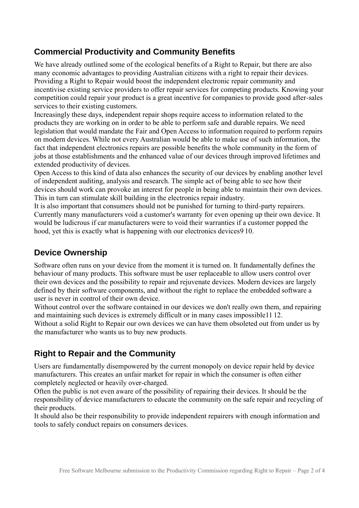# **Commercial Productivity and Community Benefits**

We have already outlined some of the ecological benefits of a Right to Repair, but there are also many economic advantages to providing Australian citizens with a right to repair their devices. Providing a Right to Repair would boost the independent electronic repair community and incentivise existing service providers to offer repair services for competing products. Knowing your competition could repair your product is a great incentive for companies to provide good after-sales services to their existing customers.

Increasingly these days, independent repair shops require access to information related to the products they are working on in order to be able to perform safe and durable repairs. We need legislation that would mandate the Fair and Open Access to information required to perform repairs on modern devices. While not every Australian would be able to make use of such information, the fact that independent electronics repairs are possible benefits the whole community in the form of jobs at those establishments and the enhanced value of our devices through improved lifetimes and extended productivity of devices.

Open Access to this kind of data also enhances the security of our devices by enabling another level of independent auditing, analysis and research. The simple act of being able to see how their devices should work can provoke an interest for people in being able to maintain their own devices. This in turn can stimulate skill building in the electronics repair industry.

It is also important that consumers should not be punished for turning to third-party repairers. Currently many manufacturers void a customer's warranty for even opening up their own device. It would be ludicrous if car manufacturers were to void their warranties if a customer popped the hood, yet this is exactly what is happening with our electronics devices9 10.

#### **Device Ownership**

Software often runs on your device from the moment it is turned on. It fundamentally defines the behaviour of many products. This software must be user replaceable to allow users control over their own devices and the possibility to repair and rejuvenate devices. Modern devices are largely defined by their software components, and without the right to replace the embedded software a user is never in control of their own device.

Without control over the software contained in our devices we don't really own them, and repairing and maintaining such devices is extremely difficult or in many cases impossible11 12. Without a solid Right to Repair our own devices we can have them obsoleted out from under us by the manufacturer who wants us to buy new products.

### **Right to Repair and the Community**

Users are fundamentally disempowered by the current monopoly on device repair held by device manufacturers. This creates an unfair market for repair in which the consumer is often either completely neglected or heavily over-charged.

Often the public is not even aware of the possibility of repairing their devices. It should be the responsibility of device manufacturers to educate the community on the safe repair and recycling of their products.

It should also be their responsibility to provide independent repairers with enough information and tools to safely conduct repairs on consumers devices.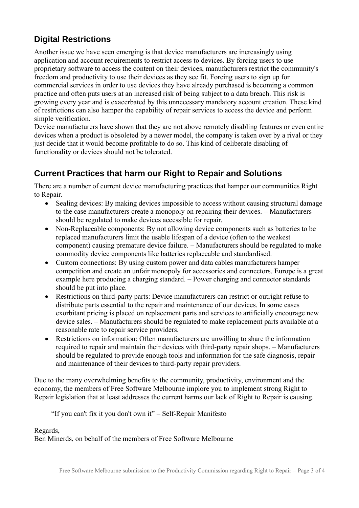# **Digital Restrictions**

Another issue we have seen emerging is that device manufacturers are increasingly using application and account requirements to restrict access to devices. By forcing users to use proprietary software to access the content on their devices, manufacturers restrict the community's freedom and productivity to use their devices as they see fit. Forcing users to sign up for commercial services in order to use devices they have already purchased is becoming a common practice and often puts users at an increased risk of being subject to a data breach. This risk is growing every year and is exacerbated by this unnecessary mandatory account creation. These kind of restrictions can also hamper the capability of repair services to access the device and perform simple verification.

Device manufacturers have shown that they are not above remotely disabling features or even entire devices when a product is obsoleted by a newer model, the company is taken over by a rival or they just decide that it would become profitable to do so. This kind of deliberate disabling of functionality or devices should not be tolerated.

# **Current Practices that harm our Right to Repair and Solutions**

There are a number of current device manufacturing practices that hamper our communities Right to Repair.

- Sealing devices: By making devices impossible to access without causing structural damage to the case manufacturers create a monopoly on repairing their devices. – Manufacturers should be regulated to make devices accessible for repair.
- Non-Replaceable components: By not allowing device components such as batteries to be replaced manufacturers limit the usable lifespan of a device (often to the weakest component) causing premature device failure. – Manufacturers should be regulated to make commodity device components like batteries replaceable and standardised.
- Custom connections: By using custom power and data cables manufacturers hamper competition and create an unfair monopoly for accessories and connectors. Europe is a great example here producing a charging standard. – Power charging and connector standards should be put into place.
- Restrictions on third-party parts: Device manufacturers can restrict or outright refuse to distribute parts essential to the repair and maintenance of our devices. In some cases exorbitant pricing is placed on replacement parts and services to artificially encourage new device sales. – Manufacturers should be regulated to make replacement parts available at a reasonable rate to repair service providers.
- Restrictions on information: Often manufacturers are unwilling to share the information required to repair and maintain their devices with third-party repair shops. – Manufacturers should be regulated to provide enough tools and information for the safe diagnosis, repair and maintenance of their devices to third-party repair providers.

Due to the many overwhelming benefits to the community, productivity, environment and the economy, the members of Free Software Melbourne implore you to implement strong Right to Repair legislation that at least addresses the current harms our lack of Right to Repair is causing.

"If you can't fix it you don't own it" – Self-Repair Manifesto

Regards,

Ben Minerds, on behalf of the members of Free Software Melbourne